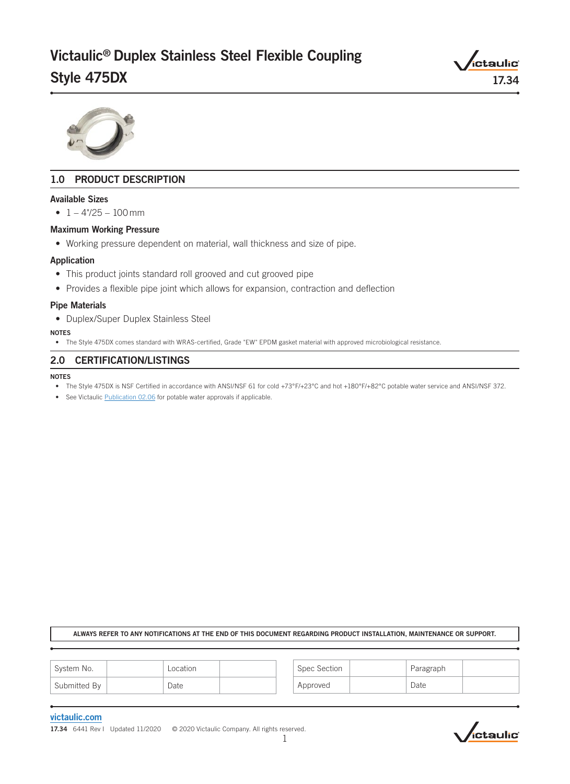# Victaulic® Duplex Stainless Steel Flexible Coupling Style 475DX 17.34



# 1.0 PRODUCT DESCRIPTION

#### Available Sizes

•  $1 - 4\frac{7}{25} - 100 \text{ mm}$ 

#### Maximum Working Pressure

• Working pressure dependent on material, wall thickness and size of pipe.

#### Application

- This product joints standard roll grooved and cut grooved pipe
- Provides a flexible pipe joint which allows for expansion, contraction and deflection

#### Pipe Materials

• Duplex/Super Duplex Stainless Steel

#### NOTES

• The Style 475DX comes standard with WRAS-certified, Grade "EW" EPDM gasket material with approved microbiological resistance.

## 2.0 CERTIFICATION/LISTINGS

#### NOTES

- The Style 475DX is NSF Certified in accordance with ANSI/NSF 61 for cold +73°F/+23°C and hot +180°F/+82°C potable water service and ANSI/NSF 372.
- See Victaulic [Publication 02.06](http://static.victaulic.com/assets/uploads/literature/02.06.pdf) for potable water approvals if applicable.

#### ALWAYS REFER TO ANY NOTIFICATIONS AT THE END OF THIS DOCUMENT REGARDING PRODUCT INSTALLATION, MAINTENANCE OR SUPPORT.

| System No.   | Location | Spec Section | Paragraph |  |
|--------------|----------|--------------|-----------|--|
| Submitted By | Date     | Approved     | Date      |  |

#### [victaulic.com](http://www.victaulic.com)

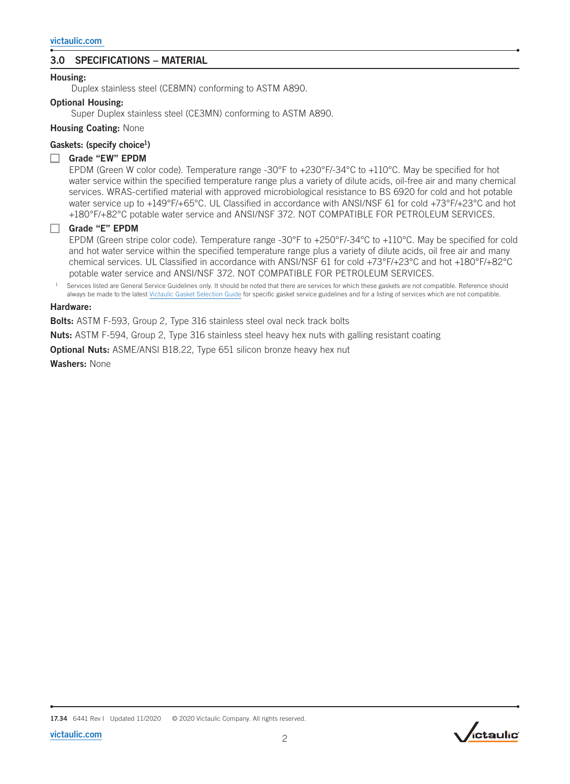# 3.0 SPECIFICATIONS – MATERIAL

## Housing:

Duplex stainless steel (CE8MN) conforming to ASTM A890.

## Optional Housing:

Super Duplex stainless steel (CE3MN) conforming to ASTM A890.

## Housing Coating: None

# Gaskets: (specify choice<sup>1</sup>)

## Grade "EW" EPDM

EPDM (Green W color code). Temperature range -30°F to +230°F/-34°C to +110°C. May be specified for hot water service within the specified temperature range plus a variety of dilute acids, oil-free air and many chemical services. WRAS-certified material with approved microbiological resistance to BS 6920 for cold and hot potable water service up to +149°F/+65°C. UL Classified in accordance with ANSI/NSF 61 for cold +73°F/+23°C and hot +180°F/+82°C potable water service and ANSI/NSF 372. NOT COMPATIBLE FOR PETROLEUM SERVICES.

## Grade "E" EPDM

EPDM (Green stripe color code). Temperature range -30°F to +250°F/-34°C to +110°C. May be specified for cold and hot water service within the specified temperature range plus a variety of dilute acids, oil free air and many chemical services. UL Classified in accordance with ANSI/NSF 61 for cold +73°F/+23°C and hot +180°F/+82°C potable water service and ANSI/NSF 372. NOT COMPATIBLE FOR PETROLEUM SERVICES.

Services listed are General Service Guidelines only. It should be noted that there are services for which these gaskets are not compatible. Reference should always be made to the latest [Victaulic Gasket Selection Guide](http://static.victaulic.com/assets/uploads/literature/05.01.pdf) for specific gasket service guidelines and for a listing of services which are not compatible.

#### Hardware:

Bolts: ASTM F-593, Group 2, Type 316 stainless steel oval neck track bolts

Nuts: ASTM F-594, Group 2, Type 316 stainless steel heavy hex nuts with galling resistant coating

**Optional Nuts:** ASME/ANSI B18.22, Type 651 silicon bronze heavy hex nut

Washers: None

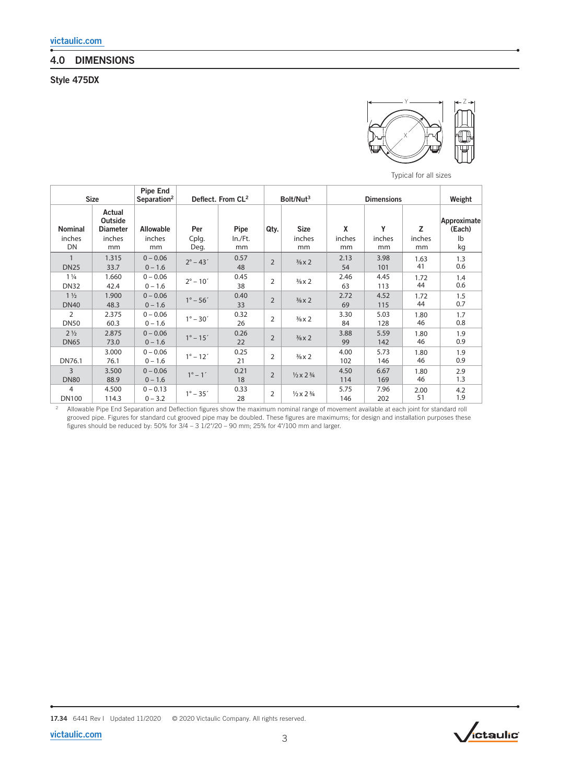# 4.0 DIMENSIONS

Style 475DX



Typical for all sizes

| <b>Size</b>                   |                                      | Pipe End<br>Separation <sup>2</sup> | Deflect. From CL <sup>2</sup> |               | Bolt/Nut <sup>3</sup> |                                    | <b>Dimensions</b> |              |              | Weight                |
|-------------------------------|--------------------------------------|-------------------------------------|-------------------------------|---------------|-----------------------|------------------------------------|-------------------|--------------|--------------|-----------------------|
| <b>Nominal</b>                | Actual<br>Outside<br><b>Diameter</b> | <b>Allowable</b>                    | Per                           | Pipe          | Qty.                  | <b>Size</b>                        | χ                 | Υ            | z            | Approximate<br>(Each) |
| inches<br>DN                  | inches<br>mm                         | inches<br>mm                        | Cplg.<br>Deg.                 | In./Ft.<br>mm |                       | inches<br>mm                       | inches<br>mm      | inches<br>mm | inches<br>mm | lb<br>kg              |
| <b>DN25</b>                   | 1.315<br>33.7                        | $0 - 0.06$<br>$0 - 1.6$             | $2^{\circ} - 43'$             | 0.57<br>48    | $\overline{2}$        | $\frac{3}{8}$ x 2                  | 2.13<br>54        | 3.98<br>101  | 1.63<br>41   | 1.3<br>0.6            |
| $1\frac{1}{4}$<br><b>DN32</b> | 1.660<br>42.4                        | $0 - 0.06$<br>$0 - 1.6$             | $2^{\circ} - 10'$             | 0.45<br>38    | $\overline{2}$        | $\frac{3}{8}$ x 2                  | 2.46<br>63        | 4.45<br>113  | 1.72<br>44   | 1.4<br>0.6            |
| $1\frac{1}{2}$<br><b>DN40</b> | 1.900<br>48.3                        | $0 - 0.06$<br>$0 - 1.6$             | $1^{\circ} - 56'$             | 0.40<br>33    | $\overline{2}$        | $\frac{3}{8}$ x 2                  | 2.72<br>69        | 4.52<br>115  | 1.72<br>44   | 1.5<br>0.7            |
| 2<br><b>DN50</b>              | 2.375<br>60.3                        | $0 - 0.06$<br>$0 - 1.6$             | $1^{\circ} - 30'$             | 0.32<br>26    | $\overline{2}$        | $\frac{3}{8}$ x 2                  | 3.30<br>84        | 5.03<br>128  | 1.80<br>46   | 1.7<br>0.8            |
| $2\frac{1}{2}$<br><b>DN65</b> | 2.875<br>73.0                        | $0 - 0.06$<br>$0 - 1.6$             | $1^{\circ} - 15'$             | 0.26<br>22    | $\overline{2}$        | $\frac{3}{8}$ x 2                  | 3.88<br>99        | 5.59<br>142  | 1.80<br>46   | 1.9<br>0.9            |
| DN76.1                        | 3.000<br>76.1                        | $0 - 0.06$<br>$0 - 1.6$             | $1^{\circ} - 12'$             | 0.25<br>21    | $\overline{2}$        | $\frac{3}{8}$ x 2                  | 4.00<br>102       | 5.73<br>146  | 1.80<br>46   | 1.9<br>0.9            |
| $\overline{3}$<br><b>DN80</b> | 3.500<br>88.9                        | $0 - 0.06$<br>$0 - 1.6$             | $1^{\circ} - 1'$              | 0.21<br>18    | $\overline{2}$        | $\frac{1}{2} \times 2\frac{3}{4}$  | 4.50<br>114       | 6.67<br>169  | 1.80<br>46   | 2.9<br>1.3            |
| 4<br><b>DN100</b>             | 4.500<br>114.3                       | $0 - 0.13$<br>$0 - 3.2$             | $1^{\circ} - 35'$             | 0.33<br>28    | $\overline{2}$        | $\frac{1}{2} \times 2 \frac{3}{4}$ | 5.75<br>146       | 7.96<br>202  | 2.00<br>51   | 4.2<br>1.9            |

<sup>2</sup> Allowable Pipe End Separation and Deflection figures show the maximum nominal range of movement available at each joint for standard roll grooved pipe. Figures for standard cut grooved pipe may be doubled. These figures are maximums; for design and installation purposes these figures should be reduced by: 50% for  $3/4 - 3\frac{1}{2}\frac{27}{20} - 90$  mm; 25% for 4"/100 mm and larger.



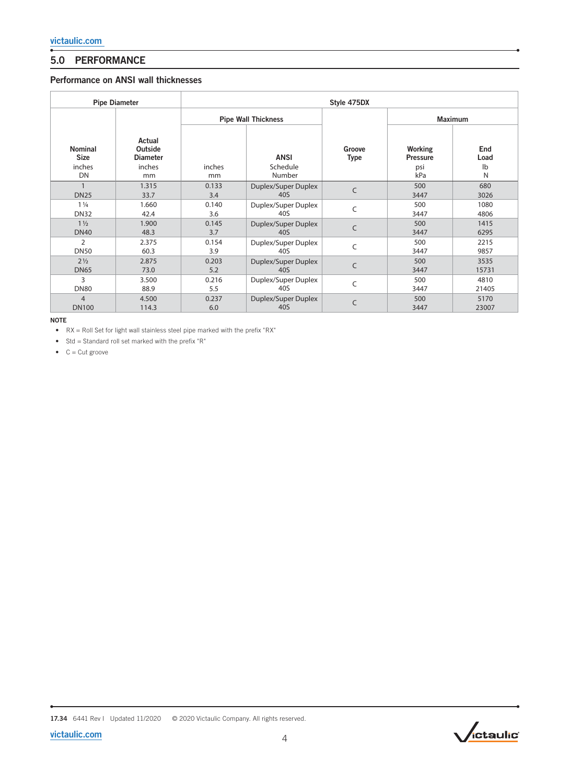# 5.0 PERFORMANCE

# Performance on ANSI wall thicknesses

| <b>Pipe Diameter</b>                          |                                                      | Style 475DX         |                                   |                       |                                          |                                   |  |  |  |
|-----------------------------------------------|------------------------------------------------------|---------------------|-----------------------------------|-----------------------|------------------------------------------|-----------------------------------|--|--|--|
|                                               |                                                      |                     | <b>Pipe Wall Thickness</b>        |                       | <b>Maximum</b>                           |                                   |  |  |  |
| <b>Nominal</b><br><b>Size</b><br>inches<br>DN | Actual<br>Outside<br><b>Diameter</b><br>inches<br>mm | inches<br>mm        | <b>ANSI</b><br>Schedule<br>Number | Groove<br><b>Type</b> | Working<br><b>Pressure</b><br>psi<br>kPa | End<br>Load<br>$\mathsf{lb}$<br>N |  |  |  |
|                                               | 1.315                                                | 0.133               | Duplex/Super Duplex<br>40S        | $\mathsf{C}$          | 500                                      | 680                               |  |  |  |
| <b>DN25</b><br>$1\frac{1}{4}$<br><b>DN32</b>  | 33.7<br>1.660<br>42.4                                | 3.4<br>0.140<br>3.6 | Duplex/Super Duplex<br>40S        | $\mathsf{C}$          | 3447<br>500<br>3447                      | 3026<br>1080<br>4806              |  |  |  |
| $1\frac{1}{2}$                                | 1.900                                                | 0.145               | Duplex/Super Duplex               | $\mathsf{C}$          | 500                                      | 1415                              |  |  |  |
| <b>DN40</b>                                   | 48.3                                                 | 3.7                 | 40S                               |                       | 3447                                     | 6295                              |  |  |  |
| 2                                             | 2.375                                                | 0.154               | Duplex/Super Duplex               | $\mathsf{C}$          | 500                                      | 2215                              |  |  |  |
| <b>DN50</b>                                   | 60.3                                                 | 3.9                 | 40S                               |                       | 3447                                     | 9857                              |  |  |  |
| $2\frac{1}{2}$                                | 2.875                                                | 0.203               | Duplex/Super Duplex               | C                     | 500                                      | 3535                              |  |  |  |
| <b>DN65</b>                                   | 73.0                                                 | 5.2                 | 40S                               |                       | 3447                                     | 15731                             |  |  |  |
| 3                                             | 3.500                                                | 0.216               | Duplex/Super Duplex               | C                     | 500                                      | 4810                              |  |  |  |
| <b>DN80</b>                                   | 88.9                                                 | 5.5                 | 40S                               |                       | 3447                                     | 21405                             |  |  |  |
| $\overline{4}$                                | 4.500                                                | 0.237               | Duplex/Super Duplex               | $\mathsf{C}$          | 500                                      | 5170                              |  |  |  |
| <b>DN100</b>                                  | 114.3                                                | 6.0                 | 40S                               |                       | 3447                                     | 23007                             |  |  |  |

NOTE

• RX = Roll Set for light wall stainless steel pipe marked with the prefix "RX"

• Std = Standard roll set marked with the prefix "R"

 $\bullet$  C = Cut groove

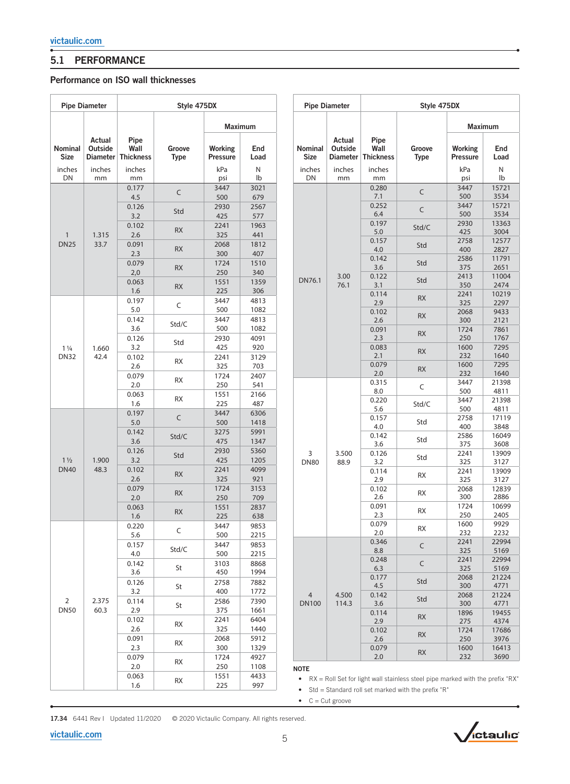$\sqrt{2}$ 

# 5.1 PERFORMANCE

# Performance on ISO wall thicknesses

|                               | <b>Pipe Diameter</b>          |                                  | Style 475DX           |                            |                 |                        | <b>Pipe Diameter</b>                 |                                  |                                                                                   | Style 475DX                |               |
|-------------------------------|-------------------------------|----------------------------------|-----------------------|----------------------------|-----------------|------------------------|--------------------------------------|----------------------------------|-----------------------------------------------------------------------------------|----------------------------|---------------|
|                               |                               |                                  | <b>Maximum</b>        |                            |                 |                        |                                      |                                  | Maximum                                                                           |                            |               |
| Nominal<br><b>Size</b>        | Actual<br>Outside<br>Diameter | Pipe<br>Wall<br><b>Thickness</b> | Groove<br><b>Type</b> | Working<br><b>Pressure</b> | End<br>Load     | Nominal<br><b>Size</b> | Actual<br>Outside<br><b>Diameter</b> | Pipe<br>Wall<br><b>Thickness</b> | Groove<br><b>Type</b>                                                             | Working<br><b>Pressure</b> | End<br>Load   |
| inches<br>DN                  | inches<br>mm                  | inches                           |                       | kPa                        | ${\sf N}$<br>Ib | inches<br>DN           | inches                               | inches                           |                                                                                   | kPa                        | Ν<br>lb       |
|                               |                               | mm<br>0.177                      |                       | psi                        |                 |                        | mm                                   | mm<br>0.280                      |                                                                                   | psi                        |               |
|                               |                               | 4.5                              | $\mathsf C$           | 3447<br>500                | 3021<br>679     |                        |                                      | 7.1                              | C                                                                                 | 3447<br>500                | 15721<br>3534 |
|                               |                               | 0.126                            | Std                   | 2930                       | 2567            |                        |                                      | 0.252<br>6.4                     | C                                                                                 | 3447<br>500                | 15721<br>3534 |
| 1.315<br>$\mathbf{1}$         |                               | 3.2                              |                       | 425                        | 577             |                        |                                      | 0.197                            |                                                                                   | 2930                       | 13363         |
|                               |                               | 0.102<br>2.6                     | <b>RX</b>             | 2241<br>325                | 1963<br>441     |                        |                                      | 5.0                              | Std/C                                                                             | 425                        | 3004          |
| <b>DN25</b>                   | 33.7                          | 0.091                            |                       | 2068                       | 1812            |                        |                                      | 0.157                            | Std                                                                               | 2758                       | 12577         |
|                               |                               | 2.3                              | RX                    | 300                        | 407             |                        |                                      | 4.0<br>0.142                     |                                                                                   | 400<br>2586                | 2827<br>11791 |
|                               |                               | 0.079                            | <b>RX</b>             | 1724                       | 1510            |                        |                                      | 3.6                              | Std                                                                               | 375                        | 2651          |
|                               |                               | 2,0                              |                       | 250                        | 340             | DN76.1                 | 3.00                                 | 0.122                            | Std                                                                               | 2413                       | 11004         |
|                               |                               | 0.063<br>1.6                     | <b>RX</b>             | 1551<br>225                | 1359<br>306     |                        | 76.1                                 | 3.1                              |                                                                                   | 350                        | 2474          |
|                               |                               | 0.197                            |                       | 3447                       | 4813            |                        |                                      | 0.114<br>2.9                     | <b>RX</b>                                                                         | 2241<br>325                | 10219<br>2297 |
|                               |                               | 5.0                              | $\subset$             | 500                        | 1082            |                        |                                      | 0.102                            |                                                                                   | 2068                       | 9433          |
|                               |                               | 0.142                            | Std/C                 | 3447                       | 4813            |                        |                                      | 2.6                              | <b>RX</b>                                                                         | 300                        | 2121          |
|                               |                               | 3.6                              |                       | 500                        | 1082            |                        |                                      | 0.091                            | RX                                                                                | 1724                       | 7861          |
|                               |                               | 0.126<br>3.2                     | Std                   | 2930<br>425                | 4091<br>920     |                        | 3.500<br>88.9                        | 2.3<br>0.083                     |                                                                                   | 250<br>1600                | 1767<br>7295  |
| $1\frac{1}{4}$<br><b>DN32</b> | 1.660<br>42.4                 | 0.102                            |                       | 2241                       | 3129            |                        |                                      | 2.1                              | <b>RX</b>                                                                         | 232                        | 1640          |
|                               |                               | 2.6                              | <b>RX</b>             | 325                        | 703             |                        |                                      | 0.079                            | RX                                                                                | 1600                       | 7295          |
|                               |                               | 0.079                            | <b>RX</b>             | 1724                       | 2407            |                        |                                      | 2.0                              |                                                                                   | 232                        | 1640          |
|                               |                               | 2.0                              |                       | 250                        | 541             |                        |                                      | 0.315<br>$8.0\,$                 | C                                                                                 | 3447<br>500                | 21398<br>4811 |
|                               |                               | 0.063                            | <b>RX</b>             | 1551                       | 2166            |                        |                                      | 0.220                            |                                                                                   | 3447                       | 21398         |
|                               |                               | 1.6<br>0.197                     | C<br>Std/C            | 225<br>3447                | 487<br>6306     |                        |                                      | 5.6                              | Std/C                                                                             | 500                        | 4811          |
|                               |                               | $5.0$                            |                       | 500                        | 1418            |                        |                                      | 0.157                            | Std                                                                               | 2758                       | 17119         |
|                               |                               | 0.142                            |                       | 3275                       | 5991            |                        |                                      | 4.0<br>0.142                     |                                                                                   | 400<br>2586                | 3848<br>16049 |
|                               |                               | 3.6                              |                       | 475                        | 1347            |                        |                                      | 3.6                              | Std                                                                               | 375                        | 3608          |
|                               |                               | 0.126<br>3.2                     | Std                   | 2930<br>425                | 5360<br>1205    | 3                      |                                      | 0.126                            | Std                                                                               | 2241                       | 13909         |
| $1\frac{1}{2}$<br><b>DN40</b> | 1.900<br>48.3                 | 0.102                            |                       | 2241                       | 4099            | <b>DN80</b>            |                                      | 3.2<br>0.114                     |                                                                                   | 325<br>2241                | 3127<br>13909 |
|                               |                               | 2.6                              | <b>RX</b>             | 325                        | 921             |                        |                                      | 2.9                              | <b>RX</b>                                                                         | 325                        | 3127          |
|                               |                               | 0.079                            | <b>RX</b>             | 1724                       | 3153            |                        |                                      | 0.102                            | <b>RX</b>                                                                         | 2068                       | 12839         |
|                               |                               | $2.0\,$                          |                       | 250                        | 709             |                        |                                      | 2.6                              |                                                                                   | 300                        | 2886          |
|                               |                               | 0.063<br>1.6                     | ${\sf RX}$            | 1551<br>225                | 2837<br>638     |                        |                                      | 0.091<br>2.3                     | RX                                                                                | 1724<br>250                | 10699<br>2405 |
|                               |                               | 0.220                            |                       | 3447                       | 9853            |                        |                                      | 0.079                            | RX                                                                                | 1600                       | 9929          |
|                               |                               | $\mathsf C$<br>5.6               | 500                   | 2215                       |                 |                        | 2.0                                  |                                  | 232                                                                               | 2232                       |               |
|                               |                               | 0.157                            | Std/C                 | 3447                       | 9853            |                        | 4.500                                | 0.346<br>8.8                     | C                                                                                 | 2241<br>325                | 22994<br>5169 |
|                               |                               | 4.0                              |                       | 500                        | 2215            |                        |                                      | 0.248                            |                                                                                   | 2241                       | 22994         |
|                               |                               | 0.142<br>3.6                     | St                    | 3103<br>450                | 8868<br>1994    |                        |                                      | 6.3                              | C                                                                                 | 325                        | 5169          |
|                               |                               | 0.126                            | St                    | 2758<br>400                | 7882            |                        |                                      | 0.177                            | Std                                                                               | 2068                       | 21224         |
|                               |                               | 3.2                              |                       |                            | 1772            | $\overline{4}$         |                                      | 4.5<br>0.142                     |                                                                                   | 300<br>2068                | 4771<br>21224 |
| $\overline{2}$                | 2.375                         | 0.114                            | St                    | 2586                       | 7390            | <b>DN100</b>           | 114.3                                | 3.6                              | Std                                                                               | 300                        | 4771          |
| <b>DN50</b>                   | 60.3                          | 2.9                              | RX                    | 375                        | 1661            |                        |                                      | 0.114                            | <b>RX</b>                                                                         | 1896                       | 19455         |
|                               |                               | 0.102                            |                       | 2241                       | 6404            |                        |                                      | 2.9                              |                                                                                   | 275                        | 4374          |
|                               |                               | 2.6<br>0.091                     |                       | 325<br>2068                | 1440<br>5912    |                        |                                      | 0.102<br>2.6                     | <b>RX</b>                                                                         | 1724<br>250                | 17686<br>3976 |
|                               |                               | 2.3                              | RX                    | 300                        | 1329            |                        |                                      | 0.079                            |                                                                                   | 1600                       | 16413         |
|                               |                               | 0.079                            | RX                    | 1724                       | 4927            |                        |                                      | 2.0                              | <b>RX</b>                                                                         | 232                        | 3690          |
|                               |                               | 2.0                              |                       | 250                        | 1108            | <b>NOTE</b>            |                                      |                                  |                                                                                   |                            |               |
|                               |                               | 0.063                            | RX                    | 1551                       | 4433            |                        |                                      |                                  | • $RX =$ Roll Set for light wall stainless steel pipe marked with the prefix "RX" |                            |               |
|                               |                               | 1.6                              |                       | 225                        | 997             |                        |                                      |                                  |                                                                                   |                            |               |

٦  $\Gamma$ 

• Std = Standard roll set marked with the prefix "R"

 $\bullet$  C = Cut groove